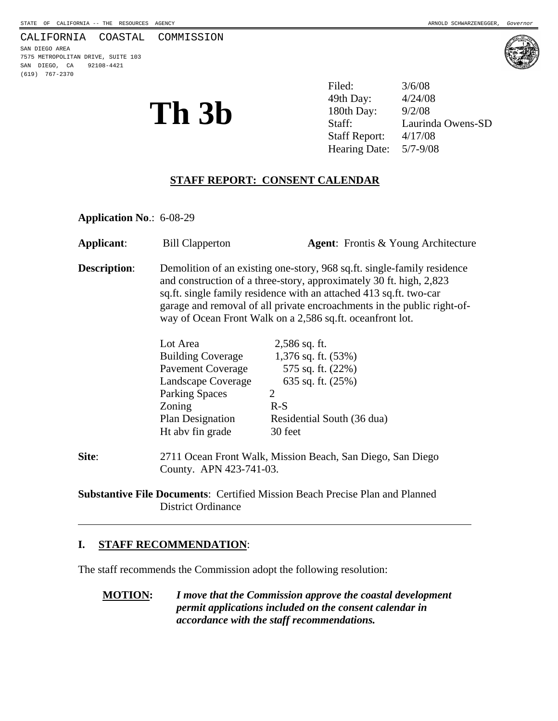#### CALIFORNIA COASTAL COMMISSION

SAN DIEGO AREA 7575 METROPOLITAN DRIVE, SUITE 103 SAN DIEGO, CA 92108-4421 (619) 767-2370



**Th 3b** <sup>49th Day: 4/24/08<br> **180th Day:** 9/2/08<br> **180th Day:** 9/2/08<br> **180th Day:** 9/2/08</sup> Filed: 3/6/08 49th Day: Laurinda Owens-SD Staff Report: 4/17/08 Hearing Date: 5/7-9/08

## **STAFF REPORT: CONSENT CALENDAR**

**Application No**.: 6-08-29

| Applicant:          | <b>Bill Clapperton</b>                                                                                                                                                                                                                                                                                                                                        |                                                                                                     | <b>Agent:</b> Frontis & Young Architecture |
|---------------------|---------------------------------------------------------------------------------------------------------------------------------------------------------------------------------------------------------------------------------------------------------------------------------------------------------------------------------------------------------------|-----------------------------------------------------------------------------------------------------|--------------------------------------------|
| <b>Description:</b> | Demolition of an existing one-story, 968 sq.ft. single-family residence<br>and construction of a three-story, approximately 30 ft. high, 2,823<br>sq.ft. single family residence with an attached 413 sq.ft. two-car<br>garage and removal of all private encroachments in the public right-of-<br>way of Ocean Front Walk on a 2,586 sq.ft. ocean front lot. |                                                                                                     |                                            |
|                     | Lot Area<br><b>Building Coverage</b><br><b>Pavement Coverage</b><br>Landscape Coverage<br><b>Parking Spaces</b><br>Zoning                                                                                                                                                                                                                                     | $2,586$ sq. ft.<br>1,376 sq. ft. $(53\%)$<br>575 sq. ft. (22%)<br>635 sq. ft. $(25%)$<br>2<br>$R-S$ |                                            |
|                     | Plan Designation<br>Ht aby fin grade                                                                                                                                                                                                                                                                                                                          | Residential South (36 dua)<br>30 feet                                                               |                                            |
| Site:               | 2711 Ocean Front Walk, Mission Beach, San Diego, San Diego                                                                                                                                                                                                                                                                                                    |                                                                                                     |                                            |

**Substantive File Documents**: Certified Mission Beach Precise Plan and Planned District Ordinance

#### **I. STAFF RECOMMENDATION**:

 $\overline{a}$ 

The staff recommends the Commission adopt the following resolution:

County. APN 423-741-03.

**MOTION:** *I move that the Commission approve the coastal development permit applications included on the consent calendar in accordance with the staff recommendations.*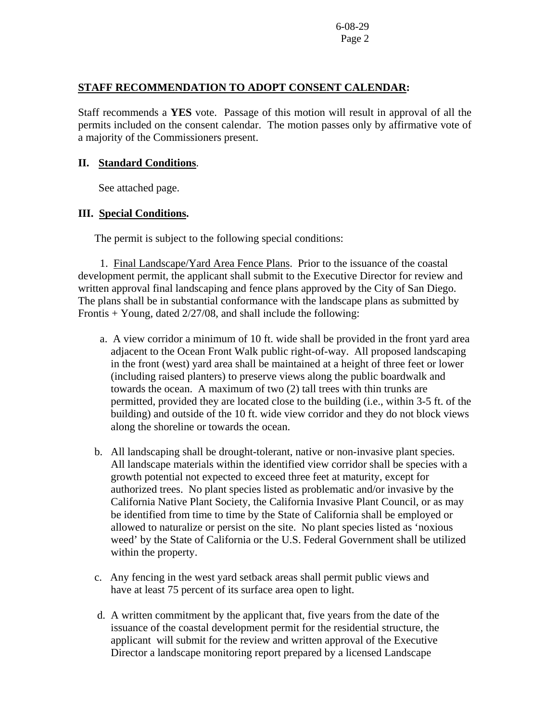## **STAFF RECOMMENDATION TO ADOPT CONSENT CALENDAR:**

Staff recommends a **YES** vote. Passage of this motion will result in approval of all the permits included on the consent calendar. The motion passes only by affirmative vote of a majority of the Commissioners present.

## **II. Standard Conditions**.

See attached page.

# **III. Special Conditions.**

The permit is subject to the following special conditions:

 1. Final Landscape/Yard Area Fence Plans. Prior to the issuance of the coastal development permit, the applicant shall submit to the Executive Director for review and written approval final landscaping and fence plans approved by the City of San Diego. The plans shall be in substantial conformance with the landscape plans as submitted by Frontis + Young, dated 2/27/08, and shall include the following:

- a. A view corridor a minimum of 10 ft. wide shall be provided in the front yard area adjacent to the Ocean Front Walk public right-of-way. All proposed landscaping in the front (west) yard area shall be maintained at a height of three feet or lower (including raised planters) to preserve views along the public boardwalk and towards the ocean. A maximum of two (2) tall trees with thin trunks are permitted, provided they are located close to the building (i.e., within 3-5 ft. of the building) and outside of the 10 ft. wide view corridor and they do not block views along the shoreline or towards the ocean.
- b. All landscaping shall be drought-tolerant, native or non-invasive plant species. All landscape materials within the identified view corridor shall be species with a growth potential not expected to exceed three feet at maturity, except for authorized trees. No plant species listed as problematic and/or invasive by the California Native Plant Society, the California Invasive Plant Council, or as may be identified from time to time by the State of California shall be employed or allowed to naturalize or persist on the site. No plant species listed as 'noxious weed' by the State of California or the U.S. Federal Government shall be utilized within the property.
- c. Any fencing in the west yard setback areas shall permit public views and have at least 75 percent of its surface area open to light.
- d. A written commitment by the applicant that, five years from the date of the issuance of the coastal development permit for the residential structure, the applicant will submit for the review and written approval of the Executive Director a landscape monitoring report prepared by a licensed Landscape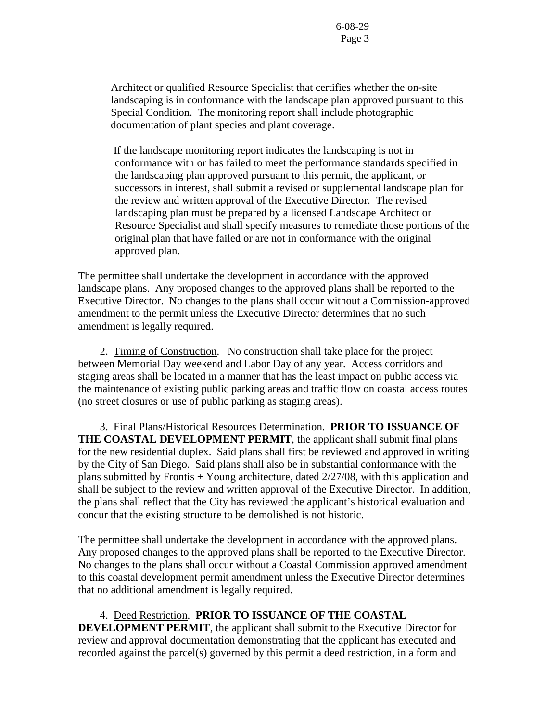Architect or qualified Resource Specialist that certifies whether the on-site landscaping is in conformance with the landscape plan approved pursuant to this Special Condition. The monitoring report shall include photographic documentation of plant species and plant coverage.

 If the landscape monitoring report indicates the landscaping is not in conformance with or has failed to meet the performance standards specified in the landscaping plan approved pursuant to this permit, the applicant, or successors in interest, shall submit a revised or supplemental landscape plan for the review and written approval of the Executive Director. The revised landscaping plan must be prepared by a licensed Landscape Architect or Resource Specialist and shall specify measures to remediate those portions of the original plan that have failed or are not in conformance with the original approved plan.

The permittee shall undertake the development in accordance with the approved landscape plans. Any proposed changes to the approved plans shall be reported to the Executive Director. No changes to the plans shall occur without a Commission-approved amendment to the permit unless the Executive Director determines that no such amendment is legally required.

 2. Timing of Construction.No construction shall take place for the project between Memorial Day weekend and Labor Day of any year. Access corridors and staging areas shall be located in a manner that has the least impact on public access via the maintenance of existing public parking areas and traffic flow on coastal access routes (no street closures or use of public parking as staging areas).

3. Final Plans/Historical Resources Determination. **PRIOR TO ISSUANCE OF THE COASTAL DEVELOPMENT PERMIT**, the applicant shall submit final plans for the new residential duplex. Said plans shall first be reviewed and approved in writing by the City of San Diego. Said plans shall also be in substantial conformance with the plans submitted by Frontis + Young architecture, dated 2/27/08, with this application and shall be subject to the review and written approval of the Executive Director. In addition, the plans shall reflect that the City has reviewed the applicant's historical evaluation and concur that the existing structure to be demolished is not historic.

The permittee shall undertake the development in accordance with the approved plans. Any proposed changes to the approved plans shall be reported to the Executive Director. No changes to the plans shall occur without a Coastal Commission approved amendment to this coastal development permit amendment unless the Executive Director determines that no additional amendment is legally required.

# 4.Deed Restriction. **PRIOR TO ISSUANCE OF THE COASTAL**

**DEVELOPMENT PERMIT**, the applicant shall submit to the Executive Director for review and approval documentation demonstrating that the applicant has executed and recorded against the parcel(s) governed by this permit a deed restriction, in a form and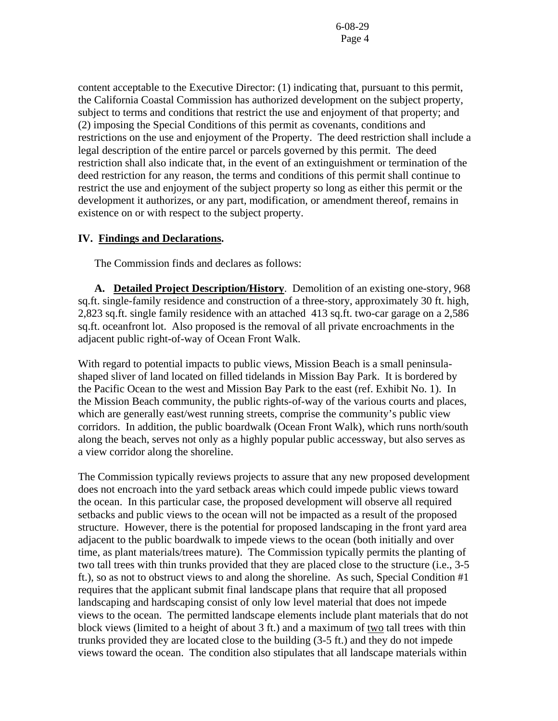content acceptable to the Executive Director: (1) indicating that, pursuant to this permit, the California Coastal Commission has authorized development on the subject property, subject to terms and conditions that restrict the use and enjoyment of that property; and (2) imposing the Special Conditions of this permit as covenants, conditions and restrictions on the use and enjoyment of the Property. The deed restriction shall include a legal description of the entire parcel or parcels governed by this permit. The deed restriction shall also indicate that, in the event of an extinguishment or termination of the deed restriction for any reason, the terms and conditions of this permit shall continue to restrict the use and enjoyment of the subject property so long as either this permit or the development it authorizes, or any part, modification, or amendment thereof, remains in existence on or with respect to the subject property.

#### **IV. Findings and Declarations.**

The Commission finds and declares as follows:

**A. Detailed Project Description/History**. Demolition of an existing one-story, 968 sq.ft. single-family residence and construction of a three-story, approximately 30 ft. high, 2,823 sq.ft. single family residence with an attached 413 sq.ft. two-car garage on a 2,586 sq.ft. oceanfront lot. Also proposed is the removal of all private encroachments in the adjacent public right-of-way of Ocean Front Walk.

With regard to potential impacts to public views, Mission Beach is a small peninsulashaped sliver of land located on filled tidelands in Mission Bay Park. It is bordered by the Pacific Ocean to the west and Mission Bay Park to the east (ref. Exhibit No. 1). In the Mission Beach community, the public rights-of-way of the various courts and places, which are generally east/west running streets, comprise the community's public view corridors. In addition, the public boardwalk (Ocean Front Walk), which runs north/south along the beach, serves not only as a highly popular public accessway, but also serves as a view corridor along the shoreline.

The Commission typically reviews projects to assure that any new proposed development does not encroach into the yard setback areas which could impede public views toward the ocean. In this particular case, the proposed development will observe all required setbacks and public views to the ocean will not be impacted as a result of the proposed structure. However, there is the potential for proposed landscaping in the front yard area adjacent to the public boardwalk to impede views to the ocean (both initially and over time, as plant materials/trees mature). The Commission typically permits the planting of two tall trees with thin trunks provided that they are placed close to the structure (i.e., 3-5 ft.), so as not to obstruct views to and along the shoreline. As such, Special Condition #1 requires that the applicant submit final landscape plans that require that all proposed landscaping and hardscaping consist of only low level material that does not impede views to the ocean. The permitted landscape elements include plant materials that do not block views (limited to a height of about  $3 \text{ ft}$ .) and a maximum of two tall trees with thin trunks provided they are located close to the building (3-5 ft.) and they do not impede views toward the ocean. The condition also stipulates that all landscape materials within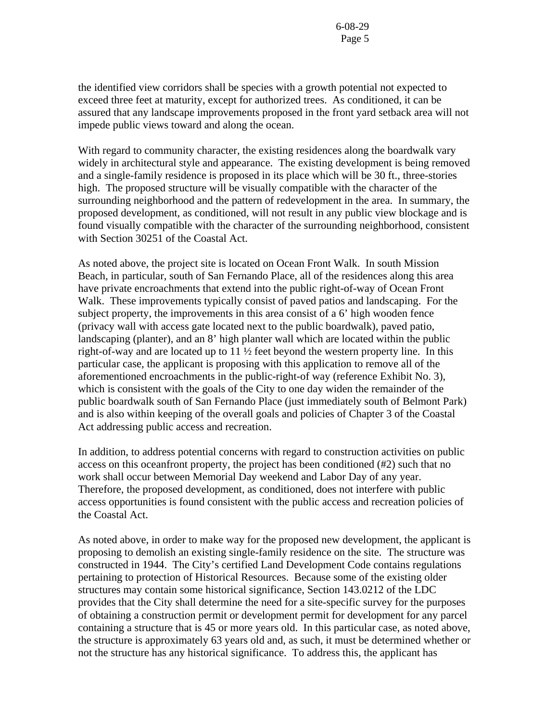the identified view corridors shall be species with a growth potential not expected to exceed three feet at maturity, except for authorized trees. As conditioned, it can be assured that any landscape improvements proposed in the front yard setback area will not impede public views toward and along the ocean.

With regard to community character, the existing residences along the boardwalk vary widely in architectural style and appearance. The existing development is being removed and a single-family residence is proposed in its place which will be 30 ft., three-stories high. The proposed structure will be visually compatible with the character of the surrounding neighborhood and the pattern of redevelopment in the area. In summary, the proposed development, as conditioned, will not result in any public view blockage and is found visually compatible with the character of the surrounding neighborhood, consistent with Section 30251 of the Coastal Act.

As noted above, the project site is located on Ocean Front Walk. In south Mission Beach, in particular, south of San Fernando Place, all of the residences along this area have private encroachments that extend into the public right-of-way of Ocean Front Walk. These improvements typically consist of paved patios and landscaping. For the subject property, the improvements in this area consist of a 6' high wooden fence (privacy wall with access gate located next to the public boardwalk), paved patio, landscaping (planter), and an 8' high planter wall which are located within the public right-of-way and are located up to 11 ½ feet beyond the western property line. In this particular case, the applicant is proposing with this application to remove all of the aforementioned encroachments in the public-right-of way (reference Exhibit No. 3), which is consistent with the goals of the City to one day widen the remainder of the public boardwalk south of San Fernando Place (just immediately south of Belmont Park) and is also within keeping of the overall goals and policies of Chapter 3 of the Coastal Act addressing public access and recreation.

In addition, to address potential concerns with regard to construction activities on public access on this oceanfront property, the project has been conditioned (#2) such that no work shall occur between Memorial Day weekend and Labor Day of any year. Therefore, the proposed development, as conditioned, does not interfere with public access opportunities is found consistent with the public access and recreation policies of the Coastal Act.

As noted above, in order to make way for the proposed new development, the applicant is proposing to demolish an existing single-family residence on the site. The structure was constructed in 1944. The City's certified Land Development Code contains regulations pertaining to protection of Historical Resources. Because some of the existing older structures may contain some historical significance, Section 143.0212 of the LDC provides that the City shall determine the need for a site-specific survey for the purposes of obtaining a construction permit or development permit for development for any parcel containing a structure that is 45 or more years old. In this particular case, as noted above, the structure is approximately 63 years old and, as such, it must be determined whether or not the structure has any historical significance. To address this, the applicant has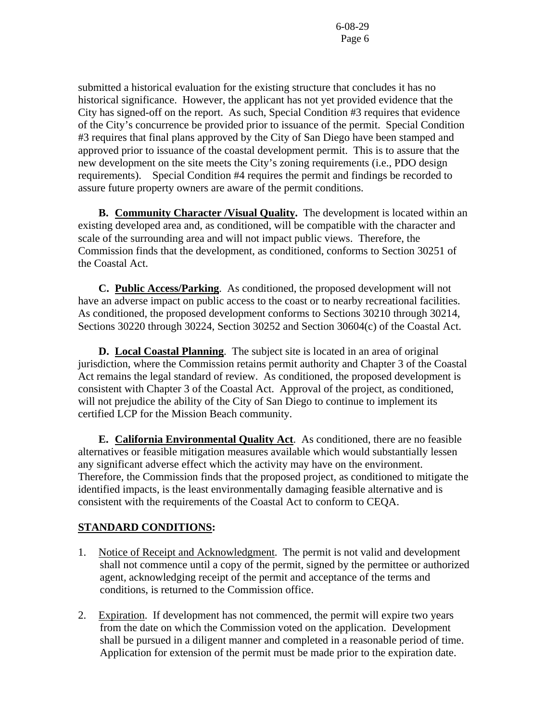submitted a historical evaluation for the existing structure that concludes it has no historical significance. However, the applicant has not yet provided evidence that the City has signed-off on the report. As such, Special Condition #3 requires that evidence of the City's concurrence be provided prior to issuance of the permit. Special Condition #3 requires that final plans approved by the City of San Diego have been stamped and approved prior to issuance of the coastal development permit. This is to assure that the new development on the site meets the City's zoning requirements (i.e., PDO design requirements). Special Condition #4 requires the permit and findings be recorded to assure future property owners are aware of the permit conditions.

 **B. Community Character /Visual Quality.** The development is located within an existing developed area and, as conditioned, will be compatible with the character and scale of the surrounding area and will not impact public views. Therefore, the Commission finds that the development, as conditioned, conforms to Section 30251 of the Coastal Act.

**C. Public Access/Parking**. As conditioned, the proposed development will not have an adverse impact on public access to the coast or to nearby recreational facilities. As conditioned, the proposed development conforms to Sections 30210 through 30214, Sections 30220 through 30224, Section 30252 and Section 30604(c) of the Coastal Act.

 **D. Local Coastal Planning**. The subject site is located in an area of original jurisdiction, where the Commission retains permit authority and Chapter 3 of the Coastal Act remains the legal standard of review. As conditioned, the proposed development is consistent with Chapter 3 of the Coastal Act. Approval of the project, as conditioned, will not prejudice the ability of the City of San Diego to continue to implement its certified LCP for the Mission Beach community.

 **E. California Environmental Quality Act**. As conditioned, there are no feasible alternatives or feasible mitigation measures available which would substantially lessen any significant adverse effect which the activity may have on the environment. Therefore, the Commission finds that the proposed project, as conditioned to mitigate the identified impacts, is the least environmentally damaging feasible alternative and is consistent with the requirements of the Coastal Act to conform to CEQA.

# **STANDARD CONDITIONS:**

- 1. Notice of Receipt and Acknowledgment. The permit is not valid and development shall not commence until a copy of the permit, signed by the permittee or authorized agent, acknowledging receipt of the permit and acceptance of the terms and conditions, is returned to the Commission office.
- 2. Expiration. If development has not commenced, the permit will expire two years from the date on which the Commission voted on the application. Development shall be pursued in a diligent manner and completed in a reasonable period of time. Application for extension of the permit must be made prior to the expiration date.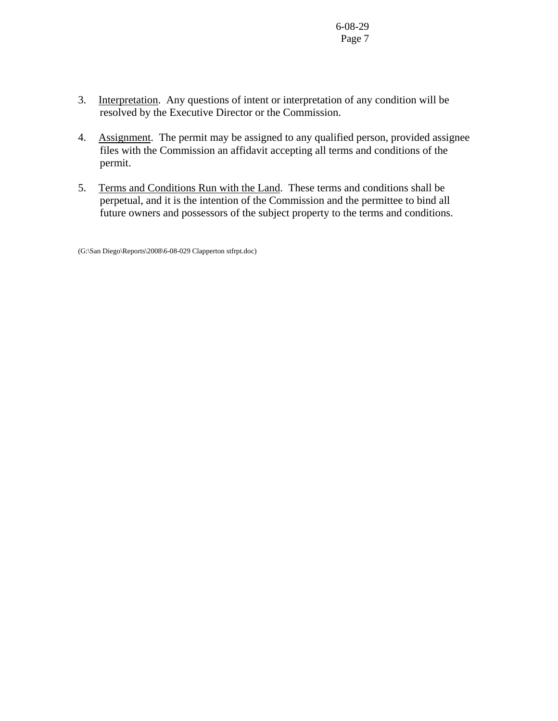- 3. Interpretation. Any questions of intent or interpretation of any condition will be resolved by the Executive Director or the Commission.
- 4. Assignment. The permit may be assigned to any qualified person, provided assignee files with the Commission an affidavit accepting all terms and conditions of the permit.
- 5. Terms and Conditions Run with the Land. These terms and conditions shall be perpetual, and it is the intention of the Commission and the permittee to bind all future owners and possessors of the subject property to the terms and conditions.

(G:\San Diego\Reports\2008\6-08-029 Clapperton stfrpt.doc)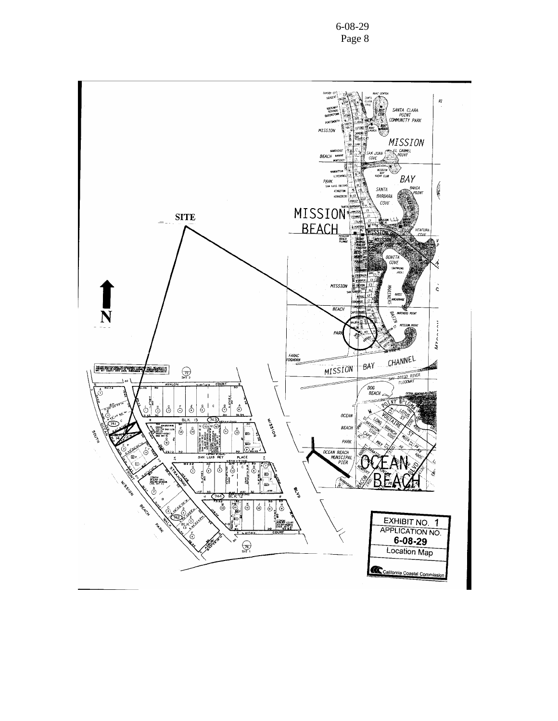6-08-29 Page 8

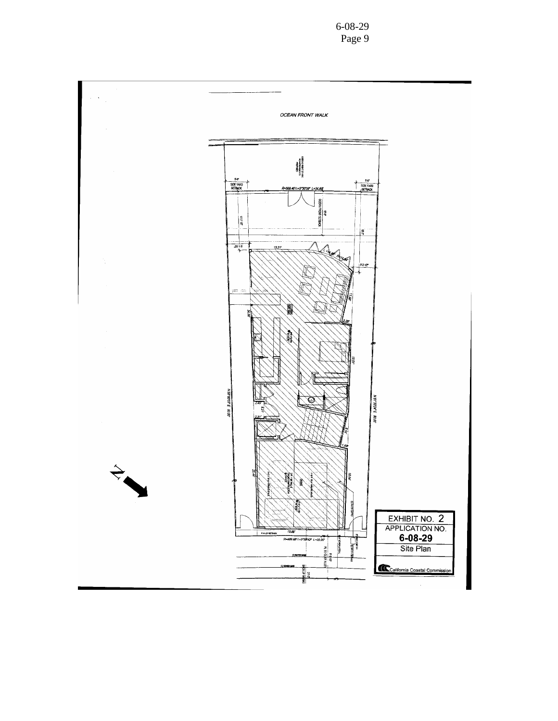